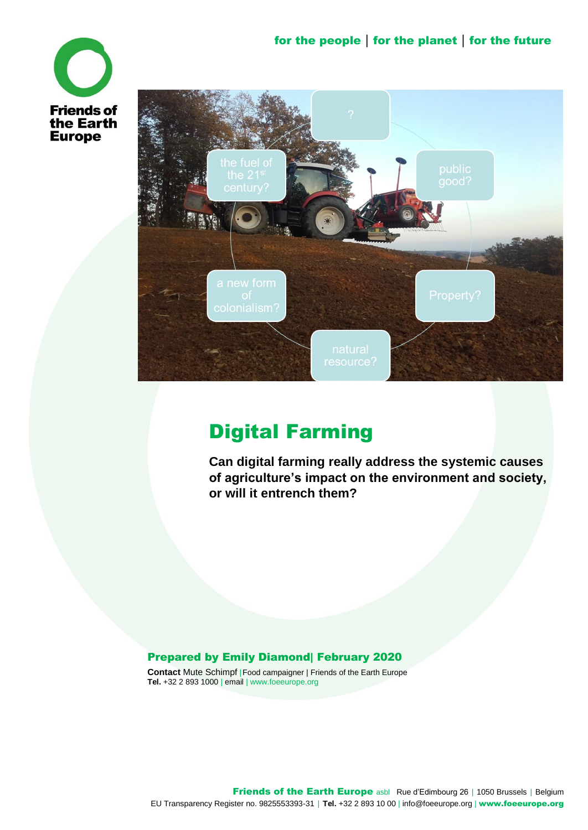



# Digital Farming

**Can digital farming really address the systemic causes of agriculture's impact on the environment and society, or will it entrench them?**

#### Prepared by Emily Diamond| February 2020

**Contact** Mute Schimpf |Food campaigner | Friends of the Earth Europe **Tel.** +32 2 893 1000 | email | www.foeeurope.org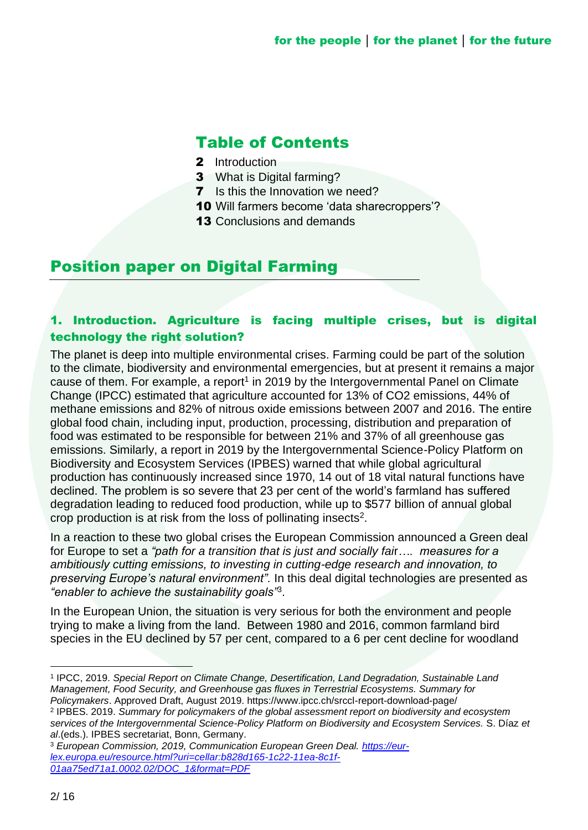# Table of Contents

- 2 Introduction
- 3 What is Digital farming?
- **7** Is this the Innovation we need?
- 10 Will farmers become 'data sharecroppers'?
- **13 Conclusions and demands**

# Position paper on Digital Farming

# 1. Introduction. Agriculture is facing multiple crises, but is digital technology the right solution?

The planet is deep into multiple environmental crises. Farming could be part of the solution to the climate, biodiversity and environmental emergencies, but at present it remains a major cause of them. For example, a report<sup>1</sup> in 2019 by the Intergovernmental Panel on Climate Change (IPCC) estimated that agriculture accounted for 13% of CO2 emissions, 44% of methane emissions and 82% of nitrous oxide emissions between 2007 and 2016. The entire global food chain, including input, production, processing, distribution and preparation of food was estimated to be responsible for between 21% and 37% of all greenhouse gas emissions. Similarly, a report in 2019 by the Intergovernmental Science-Policy Platform on Biodiversity and Ecosystem Services (IPBES) warned that while global agricultural production has continuously increased since 1970, 14 out of 18 vital natural functions have declined. The problem is so severe that 23 per cent of the world's farmland has suffered degradation leading to reduced food production, while up to \$577 billion of annual global crop production is at risk from the loss of pollinating insects<sup>2</sup>.

In a reaction to these two global crises the European Commission announced a Green deal for Europe to set a *"path for a transition that is just and socially fai*r*…. measures for a ambitiously cutting emissions, to investing in cutting-edge research and innovation, to preserving Europe's natural environment".* In this deal digital technologies are presented as *"enabler to achieve the sustainability goals"*<sup>3</sup> .

In the European Union, the situation is very serious for both the environment and people trying to make a living from the land. Between 1980 and 2016, common farmland bird species in the EU declined by 57 per cent, compared to a 6 per cent decline for woodland

2 IPBES. 2019. *Summary for policymakers of the global assessment report on biodiversity and ecosystem services of the Intergovernmental Science-Policy Platform on Biodiversity and Ecosystem Services.* S. Díaz *et al*.(eds.). IPBES secretariat, Bonn, Germany.

<sup>3</sup> *European Commission, 2019, Communication European Green Deal. [https://eur](https://eur-lex.europa.eu/resource.html?uri=cellar:b828d165-1c22-11ea-8c1f-01aa75ed71a1.0002.02/DOC_1&format=PDF)[lex.europa.eu/resource.html?uri=cellar:b828d165-1c22-11ea-8c1f-](https://eur-lex.europa.eu/resource.html?uri=cellar:b828d165-1c22-11ea-8c1f-01aa75ed71a1.0002.02/DOC_1&format=PDF)[01aa75ed71a1.0002.02/DOC\\_1&format=PDF](https://eur-lex.europa.eu/resource.html?uri=cellar:b828d165-1c22-11ea-8c1f-01aa75ed71a1.0002.02/DOC_1&format=PDF)* 

<sup>1</sup> IPCC, 2019. *Special Report on Climate Change, Desertification, Land Degradation, Sustainable Land Management, Food Security, and Greenhouse gas fluxes in Terrestrial Ecosystems. Summary for Policymakers*. Approved Draft, August 2019. https://www.ipcc.ch/srccl-report-download-page/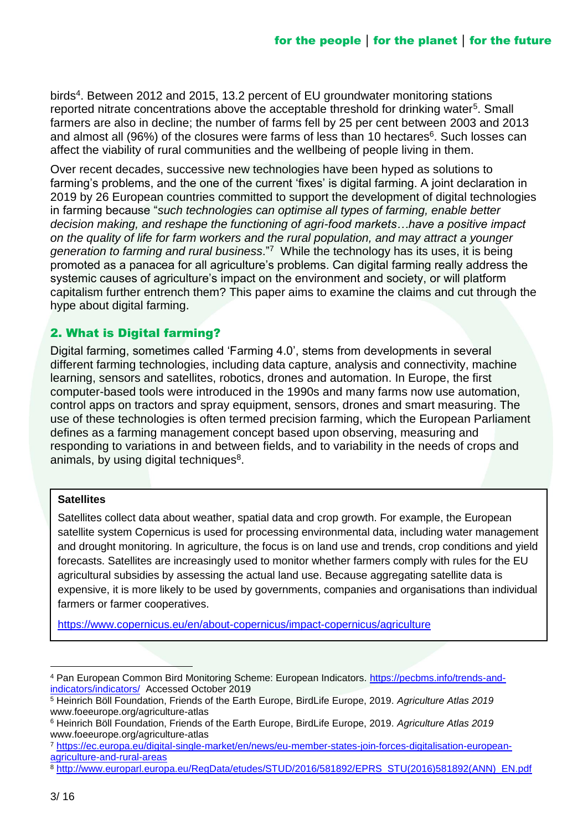birds<sup>4</sup>. Between 2012 and 2015, 13.2 percent of EU groundwater monitoring stations reported nitrate concentrations above the acceptable threshold for drinking water<sup>5</sup>. Small farmers are also in decline; the number of farms fell by 25 per cent between 2003 and 2013 and almost all (96%) of the closures were farms of less than 10 hectares<sup>6</sup>. Such losses can affect the viability of rural communities and the wellbeing of people living in them.

Over recent decades, successive new technologies have been hyped as solutions to farming's problems, and the one of the current 'fixes' is digital farming. A joint declaration in 2019 by 26 European countries committed to support the development of digital technologies in farming because "*such technologies can optimise all types of farming, enable better decision making, and reshape the functioning of agri-food markets…have a positive impact on the quality of life for farm workers and the rural population, and may attract a younger generation to farming and rural business*."<sup>7</sup> While the technology has its uses, it is being promoted as a panacea for all agriculture's problems. Can digital farming really address the systemic causes of agriculture's impact on the environment and society, or will platform capitalism further entrench them? This paper aims to examine the claims and cut through the hype about digital farming.

# 2. What is Digital farming?

Digital farming, sometimes called 'Farming 4.0', stems from developments in several different farming technologies, including data capture, analysis and connectivity, machine learning, sensors and satellites, robotics, drones and automation. In Europe, the first computer-based tools were introduced in the 1990s and many farms now use automation, control apps on tractors and spray equipment, sensors, drones and smart measuring. The use of these technologies is often termed precision farming, which the European Parliament defines as a farming management concept based upon observing, measuring and responding to variations in and between fields, and to variability in the needs of crops and animals, by using digital techniques<sup>8</sup>.

#### **Satellites**

Satellites collect data about weather, spatial data and crop growth. For example, the European satellite system Copernicus is used for processing environmental data, including water management and drought monitoring. In agriculture, the focus is on land use and trends, crop conditions and yield forecasts. Satellites are increasingly used to monitor whether farmers comply with rules for the EU agricultural subsidies by assessing the actual land use. Because aggregating satellite data is expensive, it is more likely to be used by governments, companies and organisations than individual farmers or farmer cooperatives.

<https://www.copernicus.eu/en/about-copernicus/impact-copernicus/agriculture>

<sup>4</sup> Pan European Common Bird Monitoring Scheme: European Indicators. [https://pecbms.info/trends-and](https://pecbms.info/trends-and-indicators/indicators/)[indicators/indicators/](https://pecbms.info/trends-and-indicators/indicators/) Accessed October 2019

<sup>5</sup> Heinrich Böll Foundation, Friends of the Earth Europe, BirdLife Europe, 2019. *Agriculture Atlas 2019* www.foeeurope.org/agriculture-atlas

<sup>6</sup> Heinrich Böll Foundation, Friends of the Earth Europe, BirdLife Europe, 2019. *Agriculture Atlas 2019* www.foeeurope.org/agriculture-atlas

<sup>7</sup> [https://ec.europa.eu/digital-single-market/en/news/eu-member-states-join-forces-digitalisation-european](https://ec.europa.eu/digital-single-market/en/news/eu-member-states-join-forces-digitalisation-european-agriculture-and-rural-areas)[agriculture-and-rural-areas](https://ec.europa.eu/digital-single-market/en/news/eu-member-states-join-forces-digitalisation-european-agriculture-and-rural-areas)

<sup>8</sup> [http://www.europarl.europa.eu/RegData/etudes/STUD/2016/581892/EPRS\\_STU\(2016\)581892\(ANN\)\\_EN.pdf](http://www.europarl.europa.eu/RegData/etudes/STUD/2016/581892/EPRS_STU(2016)581892(ANN)_EN.pdf)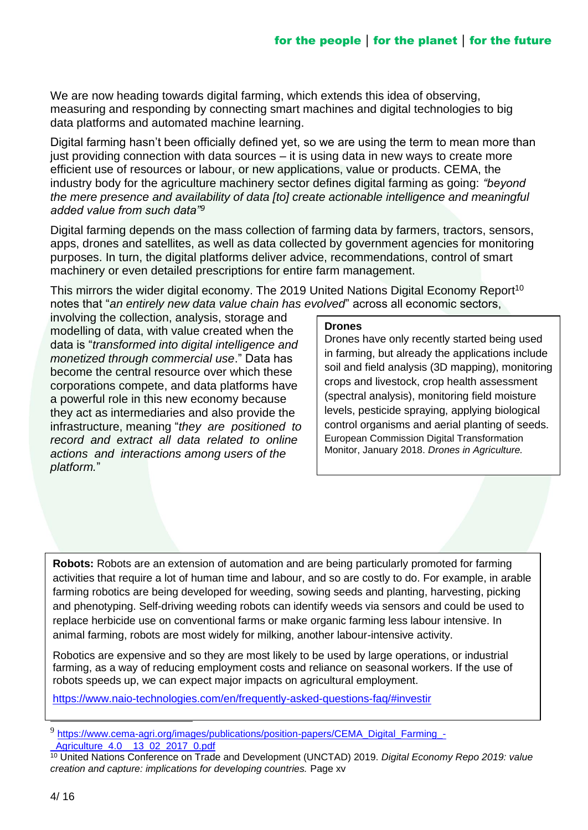We are now heading towards digital farming, which extends this idea of observing, measuring and responding by connecting smart machines and digital technologies to big data platforms and automated machine learning.

Digital farming hasn't been officially defined yet, so we are using the term to mean more than just providing connection with data sources – it is using data in new ways to create more efficient use of resources or labour, or new applications, value or products. CEMA, the industry body for the agriculture machinery sector defines digital farming as going: *"beyond the mere presence and availability of data [to] create actionable intelligence and meaningful added value from such data"<sup>9</sup>*

Digital farming depends on the mass collection of farming data by farmers, tractors, sensors, apps, drones and satellites, as well as data collected by government agencies for monitoring purposes. In turn, the digital platforms deliver advice, recommendations, control of smart machinery or even detailed prescriptions for entire farm management.

This mirrors the wider digital economy. The 2019 United Nations Digital Economy Report<sup>10</sup> notes that "*an entirely new data value chain has evolved*" across all economic sectors,

involving the collection, analysis, storage and modelling of data, with value created when the data is "*transformed into digital intelligence and monetized through commercial use*." Data has become the central resource over which these corporations compete, and data platforms have a powerful role in this new economy because they act as intermediaries and also provide the infrastructure, meaning "*they are positioned to record and extract all data related to online actions and interactions among users of the platform.*"

#### **Drones**

Drones have only recently started being used in farming, but already the applications include soil and field analysis (3D mapping), monitoring crops and livestock, crop health assessment (spectral analysis), monitoring field moisture levels, pesticide spraying, applying biological control organisms and aerial planting of seeds. European Commission Digital Transformation Monitor, January 2018. *Drones in Agriculture.*

**Robots:** Robots are an extension of automation and are being particularly promoted for farming activities that require a lot of human time and labour, and so are costly to do. For example, in arable farming robotics are being developed for weeding, sowing seeds and planting, harvesting, picking and phenotyping. Self-driving weeding robots can identify weeds via sensors and could be used to replace herbicide use on conventional farms or make organic farming less labour intensive. In animal farming, robots are most widely for milking, another labour-intensive activity.

Robotics are expensive and so they are most likely to be used by large operations, or industrial farming, as a way of reducing employment costs and reliance on seasonal workers. If the use of robots speeds up, we can expect major impacts on agricultural employment.

https://www.naio-technologies.com/en/frequently-asked-questions-faq/#investir

<sup>&</sup>lt;sup>9</sup> [https://www.cema-agri.org/images/publications/position-papers/CEMA\\_Digital\\_Farming\\_-](https://www.cema-agri.org/images/publications/position-papers/CEMA_Digital_Farming_-_Agriculture_4.0__13_02_2017_0.pdf) [\\_Agriculture\\_4.0\\_\\_13\\_02\\_2017\\_0.pdf](https://www.cema-agri.org/images/publications/position-papers/CEMA_Digital_Farming_-_Agriculture_4.0__13_02_2017_0.pdf)

<sup>10</sup> United Nations Conference on Trade and Development (UNCTAD) 2019. *Digital Economy Repo 2019: value creation and capture: implications for developing countries.* Page xv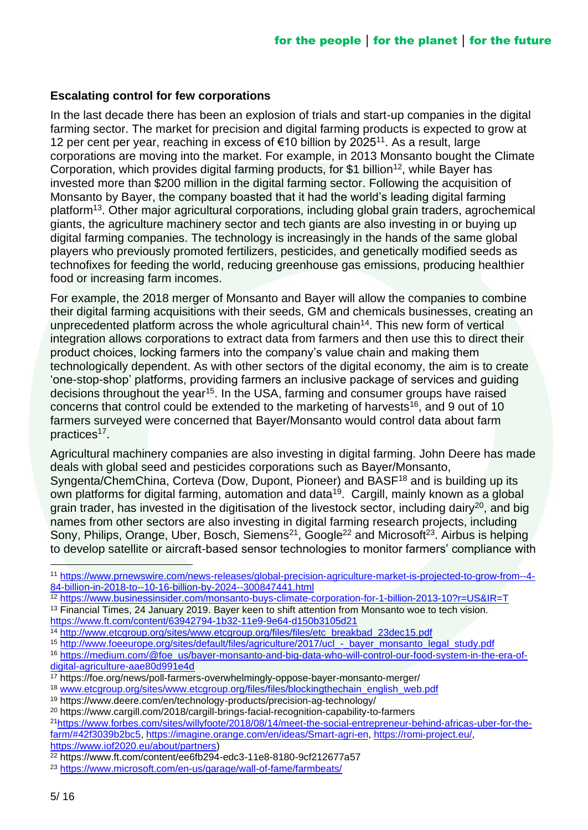#### **Escalating control for few corporations**

In the last decade there has been an explosion of trials and start-up companies in the digital farming sector. The market for precision and digital farming products is expected to grow at 12 per cent per year, reaching in excess of €10 billion by 2025<sup>11</sup>. As a result, large corporations are moving into the market. For example, in 2013 Monsanto bought the Climate Corporation, which provides digital farming products, for \$1 billion<sup>12</sup>, while Bayer has invested more than \$200 million in the digital farming sector. Following the acquisition of Monsanto by Bayer, the company boasted that it had the world's leading digital farming platform<sup>13</sup>. Other major agricultural corporations, including global grain traders, agrochemical giants, the agriculture machinery sector and tech giants are also investing in or buying up digital farming companies. The technology is increasingly in the hands of the same global players who previously promoted fertilizers, pesticides, and genetically modified seeds as technofixes for feeding the world, reducing greenhouse gas emissions, producing healthier food or increasing farm incomes.

For example, the 2018 merger of Monsanto and Bayer will allow the companies to combine their digital farming acquisitions with their seeds, GM and chemicals businesses, creating an unprecedented platform across the whole agricultural chain<sup>14</sup>. This new form of vertical integration allows corporations to extract data from farmers and then use this to direct their product choices, locking farmers into the company's value chain and making them technologically dependent. As with other sectors of the digital economy, the aim is to create 'one-stop-shop' platforms, providing farmers an inclusive package of services and guiding decisions throughout the year<sup>15</sup>. In the USA, farming and consumer groups have raised concerns that control could be extended to the marketing of harvests<sup>16</sup>, and 9 out of 10 farmers surveyed were concerned that Bayer/Monsanto would control data about farm practices<sup>17</sup>.

Agricultural machinery companies are also investing in digital farming. John Deere has made deals with global seed and pesticides corporations such as Bayer/Monsanto, Syngenta/ChemChina, Corteva (Dow, Dupont, Pioneer) and BASF<sup>18</sup> and is building up its own platforms for digital farming, automation and data<sup>19</sup>. Cargill, mainly known as a global grain trader, has invested in the digitisation of the livestock sector, including dairy<sup>20</sup>, and big names from other sectors are also investing in digital farming research projects, including Sony, Philips, Orange, Uber, Bosch, Siemens<sup>21</sup>, Google<sup>22</sup> and Microsoft<sup>23</sup>. Airbus is helping to develop satellite or aircraft-based sensor technologies to monitor farmers' compliance with

<sup>18</sup> www.etcgroup.org/sites/www.etcgroup.org/files/files/blockingthechain\_english\_web.pdf

<sup>11</sup> [https://www.prnewswire.com/news-releases/global-precision-agriculture-market-is-projected-to-grow-from--4-](https://www.prnewswire.com/news-releases/global-precision-agriculture-market-is-projected-to-grow-from--4-84-billion-in-2018-to--10-16-billion-by-2024--300847441.html) [84-billion-in-2018-to--10-16-billion-by-2024--300847441.html](https://www.prnewswire.com/news-releases/global-precision-agriculture-market-is-projected-to-grow-from--4-84-billion-in-2018-to--10-16-billion-by-2024--300847441.html)

<sup>12</sup> <https://www.businessinsider.com/monsanto-buys-climate-corporation-for-1-billion-2013-10?r=US&IR=T>

<sup>&</sup>lt;sup>13</sup> Financial Times, 24 January 2019. Bayer keen to shift attention from Monsanto woe to tech vision. <https://www.ft.com/content/63942794-1b32-11e9-9e64-d150b3105d21>

<sup>14</sup> [http://www.etcgroup.org/sites/www.etcgroup.org/files/files/etc\\_breakbad\\_23dec15.pdf](http://www.etcgroup.org/sites/www.etcgroup.org/files/files/etc_breakbad_23dec15.pdf) 

<sup>15</sup> [http://www.foeeurope.org/sites/default/files/agriculture/2017/ucl\\_-\\_bayer\\_monsanto\\_legal\\_study.pdf](http://www.foeeurope.org/sites/default/files/agriculture/2017/ucl_-_bayer_monsanto_legal_study.pdf)

<sup>16</sup> [https://medium.com/@foe\\_us/bayer-monsanto-and-big-data-who-will-control-our-food-system-in-the-era-of](https://medium.com/@foe_us/bayer-monsanto-and-big-data-who-will-control-our-food-system-in-the-era-of-digital-agriculture-aae80d991e4d)[digital-agriculture-aae80d991e4d](https://medium.com/@foe_us/bayer-monsanto-and-big-data-who-will-control-our-food-system-in-the-era-of-digital-agriculture-aae80d991e4d)

<sup>17</sup> https://foe.org/news/poll-farmers-overwhelmingly-oppose-bayer-monsanto-merger/

<sup>19</sup> https://www.deere.com/en/technology-products/precision-ag-technology/

<sup>20</sup> https://www.cargill.com/2018/cargill-brings-facial-recognition-capability-to-farmers

<sup>21</sup>https://www.forbes.com/sites/willyfoote/2018/08/14/meet-the-social-entrepreneur-behind-africas-uber-for-thefarm/#42f3039b2bc5, [https://imagine.orange.com/en/ideas/Smart-agri-en,](https://imagine.orange.com/en/ideas/Smart-agri-en) [https://romi-project.eu/,](https://romi-project.eu/) [https://www.iof2020.eu/about/partners\)](https://www.iof2020.eu/about/partners)

<sup>22</sup> https://www.ft.com/content/ee6fb294-edc3-11e8-8180-9cf212677a57

<sup>23</sup> <https://www.microsoft.com/en-us/garage/wall-of-fame/farmbeats/>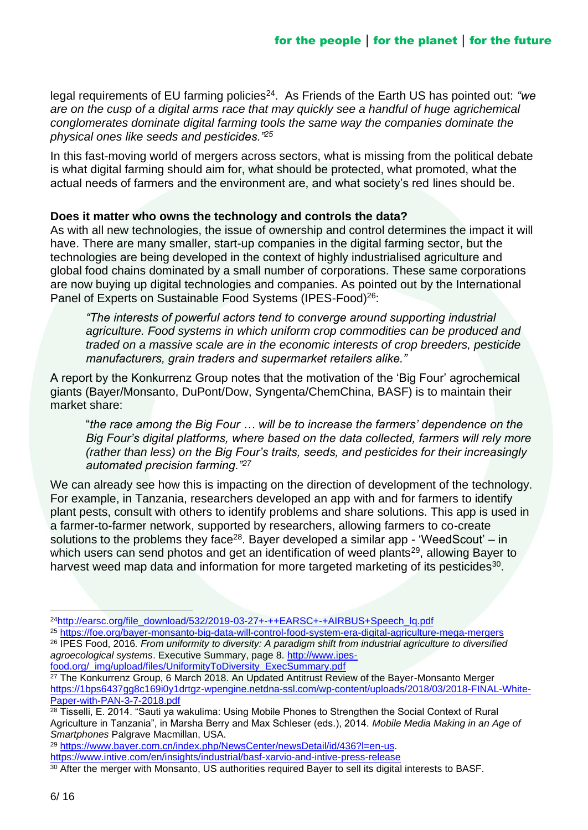legal requirements of EU farming policies<sup>24</sup>. As Friends of the Earth US has pointed out: "we *are on the cusp of a digital arms race that may quickly see a handful of huge agrichemical conglomerates dominate digital farming tools the same way the companies dominate the physical ones like seeds and pesticides."<sup>25</sup>*

In this fast-moving world of mergers across sectors, what is missing from the political debate is what digital farming should aim for, what should be protected, what promoted, what the actual needs of farmers and the environment are, and what society's red lines should be.

#### **Does it matter who owns the technology and controls the data?**

As with all new technologies, the issue of ownership and control determines the impact it will have. There are many smaller, start-up companies in the digital farming sector, but the technologies are being developed in the context of highly industrialised agriculture and global food chains dominated by a small number of corporations. These same corporations are now buying up digital technologies and companies. As pointed out by the International Panel of Experts on Sustainable Food Systems (IPES-Food)<sup>26</sup>:

*"The interests of powerful actors tend to converge around supporting industrial agriculture. Food systems in which uniform crop commodities can be produced and traded on a massive scale are in the economic interests of crop breeders, pesticide manufacturers, grain traders and supermarket retailers alike."* 

A report by the Konkurrenz Group notes that the motivation of the 'Big Four' agrochemical giants (Bayer/Monsanto, DuPont/Dow, Syngenta/ChemChina, BASF) is to maintain their market share:

"*the race among the Big Four … will be to increase the farmers' dependence on the Big Four's digital platforms, where based on the data collected, farmers will rely more (rather than less) on the Big Four's traits, seeds, and pesticides for their increasingly automated precision farming."<sup>27</sup>*

We can already see how this is impacting on the direction of development of the technology. For example, in Tanzania, researchers developed an app with and for farmers to identify plant pests, consult with others to identify problems and share solutions. This app is used in a farmer-to-farmer network, supported by researchers, allowing farmers to co-create solutions to the problems they face<sup>28</sup>. Bayer developed a similar app - 'WeedScout' – in which users can send photos and get an identification of weed plants<sup>29</sup>, allowing Bayer to harvest weed map data and information for more targeted marketing of its pesticides<sup>30</sup>.

<sup>29</sup> [https://www.bayer.com.cn/index.php/NewsCenter/newsDetail/id/436?l=en-us.](https://www.bayer.com.cn/index.php/NewsCenter/newsDetail/id/436?l=en-us)

<sup>&</sup>lt;sup>24</sup>[http://earsc.org/file\\_download/532/2019-03-27+-++EARSC+-+AIRBUS+Speech\\_lq.pdf](http://earsc.org/file_download/532/2019-03-27+-++EARSC+-+AIRBUS+Speech_lq.pdf)

<sup>25</sup> <https://foe.org/bayer-monsanto-big-data-will-control-food-system-era-digital-agriculture-mega-mergers>

<sup>26</sup> IPES Food, 2016*. From uniformity to diversity: A paradigm shift from industrial agriculture to diversified agroecological systems*. Executive Summary, page 8. [http://www.ipes](http://www.ipes-food.org/_img/upload/files/UniformityToDiversity_ExecSummary.pdf)[food.org/\\_img/upload/files/UniformityToDiversity\\_ExecSummary.pdf](http://www.ipes-food.org/_img/upload/files/UniformityToDiversity_ExecSummary.pdf)

<sup>&</sup>lt;sup>27</sup> The Konkurrenz Group, 6 March 2018. An Updated Antitrust Review of the Bayer-Monsanto Merger [https://1bps6437gg8c169i0y1drtgz-wpengine.netdna-ssl.com/wp-content/uploads/2018/03/2018-FINAL-White-](https://1bps6437gg8c169i0y1drtgz-wpengine.netdna-ssl.com/wp-content/uploads/2018/03/2018-FINAL-White-Paper-with-PAN-3-7-2018.pdf)[Paper-with-PAN-3-7-2018.pdf](https://1bps6437gg8c169i0y1drtgz-wpengine.netdna-ssl.com/wp-content/uploads/2018/03/2018-FINAL-White-Paper-with-PAN-3-7-2018.pdf)

<sup>&</sup>lt;sup>28</sup> Tisselli, E. 2014. "Sauti ya wakulima: Using Mobile Phones to Strengthen the Social Context of Rural Agriculture in Tanzania", in Marsha Berry and Max Schleser (eds.), 2014. *Mobile Media Making in an Age of Smartphones* Palgrave Macmillan, USA.

<https://www.intive.com/en/insights/industrial/basf-xarvio-and-intive-press-release>

<sup>30</sup> After the merger with Monsanto, US authorities required Bayer to sell its digital interests to BASF.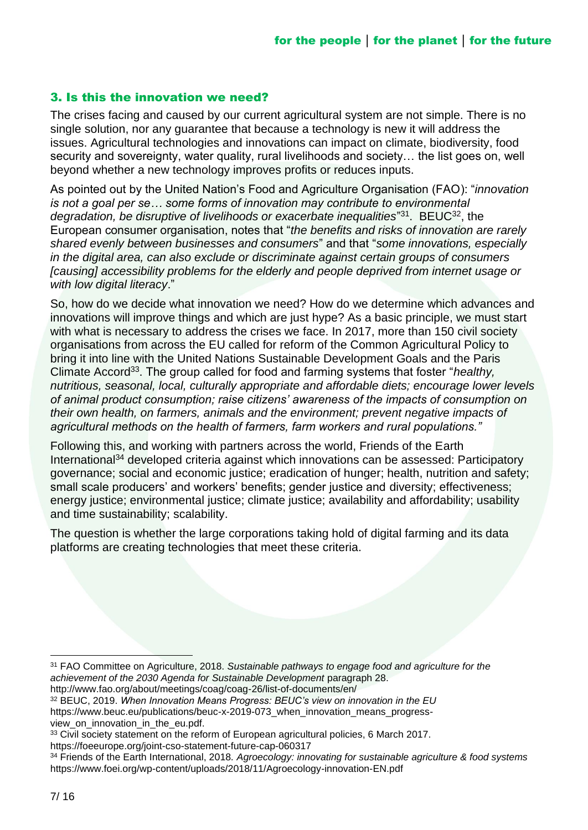#### 3. Is this the innovation we need?

The crises facing and caused by our current agricultural system are not simple. There is no single solution, nor any guarantee that because a technology is new it will address the issues. Agricultural technologies and innovations can impact on climate, biodiversity, food security and sovereignty, water quality, rural livelihoods and society… the list goes on, well beyond whether a new technology improves profits or reduces inputs.

As pointed out by the United Nation's Food and Agriculture Organisation (FAO): "*innovation is not a goal per se… some forms of innovation may contribute to environmental*  degradation, be disruptive of livelihoods or exacerbate inequalities<sup>"31</sup>. BEUC<sup>32</sup>, the European consumer organisation, notes that "*the benefits and risks of innovation are rarely shared evenly between businesses and consumers*" and that "*some innovations, especially in the digital area, can also exclude or discriminate against certain groups of consumers [causing] accessibility problems for the elderly and people deprived from internet usage or with low digital literacy*."

So, how do we decide what innovation we need? How do we determine which advances and innovations will improve things and which are just hype? As a basic principle, we must start with what is necessary to address the crises we face. In 2017, more than 150 civil society organisations from across the EU called for reform of the Common Agricultural Policy to bring it into line with the United Nations Sustainable Development Goals and the Paris Climate Accord<sup>33</sup>. The group called for food and farming systems that foster "*healthy*, *nutritious, seasonal, local, culturally appropriate and affordable diets; encourage lower levels of animal product consumption; raise citizens' awareness of the impacts of consumption on their own health, on farmers, animals and the environment; prevent negative impacts of agricultural methods on the health of farmers, farm workers and rural populations."* 

Following this, and working with partners across the world, Friends of the Earth International<sup>34</sup> developed criteria against which innovations can be assessed: Participatory governance; social and economic justice; eradication of hunger; health, nutrition and safety; small scale producers' and workers' benefits; gender justice and diversity; effectiveness; energy justice; environmental justice; climate justice; availability and affordability; usability and time sustainability; scalability.

The question is whether the large corporations taking hold of digital farming and its data platforms are creating technologies that meet these criteria.

- <sup>32</sup> BEUC, 2019. *When Innovation Means Progress: BEUC's view on innovation in the EU* https://www.beuc.eu/publications/beuc-x-2019-073\_when\_innovation\_means\_progressview\_on\_innovation\_in\_the\_eu.pdf.
- <sup>33</sup> Civil society statement on the reform of European agricultural policies, 6 March 2017.

https://foeeurope.org/joint-cso-statement-future-cap-060317

<sup>31</sup> FAO Committee on Agriculture, 2018. *Sustainable pathways to engage food and agriculture for the achievement of the 2030 Agenda for Sustainable Development* paragraph 28. http://www.fao.org/about/meetings/coag/coag-26/list-of-documents/en/

<sup>34</sup> Friends of the Earth International, 2018*. Agroecology: innovating for sustainable agriculture & food systems*  https://www.foei.org/wp-content/uploads/2018/11/Agroecology-innovation-EN.pdf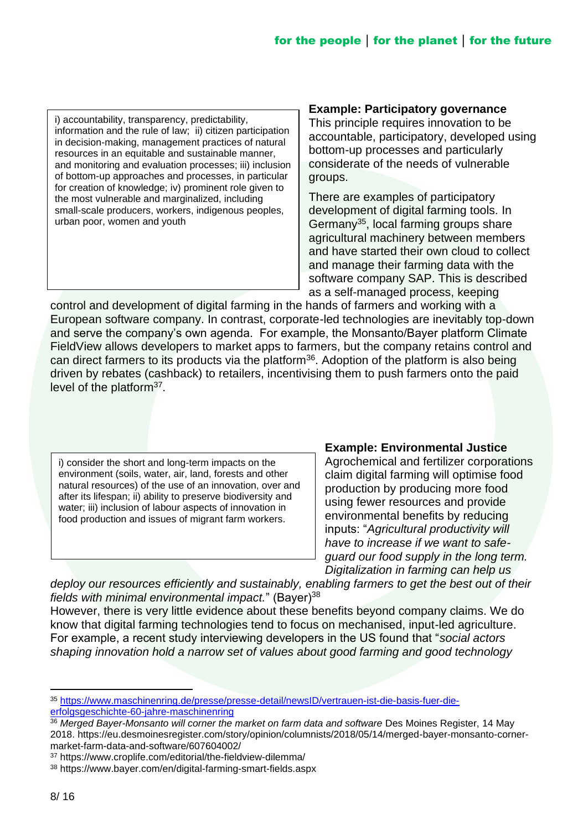i) accountability, transparency, predictability, information and the rule of law; ii) citizen participation in decision-making, management practices of natural resources in an equitable and sustainable manner, and monitoring and evaluation processes; iii) inclusion of bottom-up approaches and processes, in particular for creation of knowledge; iv) prominent role given to the most vulnerable and marginalized, including small-scale producers, workers, indigenous peoples, urban poor, women and youth

#### **Example: Participatory governance**

This principle requires innovation to be accountable, participatory, developed using bottom-up processes and particularly considerate of the needs of vulnerable groups.

There are examples of participatory development of digital farming tools. In Germany<sup>35</sup>, local farming groups share agricultural machinery between members and have started their own cloud to collect and manage their farming data with the software company SAP. This is described as a self-managed process, keeping

control and development of digital farming in the hands of farmers and working with a European software company. In contrast, corporate-led technologies are inevitably top-down and serve the company's own agenda. For example, the Monsanto/Bayer platform Climate FieldView allows developers to market apps to farmers, but the company retains control and can direct farmers to its products via the platform<sup>36</sup>. Adoption of the platform is also being driven by rebates (cashback) to retailers, incentivising them to push farmers onto the paid level of the platform<sup>37</sup>.

i) consider the short and long-term impacts on the environment (soils, water, air, land, forests and other natural resources) of the use of an innovation, over and after its lifespan; ii) ability to preserve biodiversity and water; iii) inclusion of labour aspects of innovation in food production and issues of migrant farm workers.

#### **Example: Environmental Justice**

Agrochemical and fertilizer corporations claim digital farming will optimise food production by producing more food using fewer resources and provide environmental benefits by reducing inputs: "*Agricultural productivity will have to increase if we want to safeguard our food supply in the long term. Digitalization in farming can help us* 

*deploy our resources efficiently and sustainably, enabling farmers to get the best out of their*  fields with minimal environmental impact." (Bayer)<sup>38</sup>

However, there is very little evidence about these benefits beyond company claims. We do know that digital farming technologies tend to focus on mechanised, input-led agriculture. For example, a recent study interviewing developers in the US found that "*social actors shaping innovation hold a narrow set of values about good farming and good technology* 

<sup>35</sup> [https://www.maschinenring.de/presse/presse-detail/newsID/vertrauen-ist-die-basis-fuer-die](https://www.maschinenring.de/presse/presse-detail/newsID/vertrauen-ist-die-basis-fuer-die-erfolgsgeschichte-60-jahre-maschinenring)[erfolgsgeschichte-60-jahre-maschinenring](https://www.maschinenring.de/presse/presse-detail/newsID/vertrauen-ist-die-basis-fuer-die-erfolgsgeschichte-60-jahre-maschinenring)

<sup>36</sup> *Merged Bayer-Monsanto will corner the market on farm data and software* Des Moines Register, 14 May 2018. https://eu.desmoinesregister.com/story/opinion/columnists/2018/05/14/merged-bayer-monsanto-cornermarket-farm-data-and-software/607604002/

<sup>37</sup> https://www.croplife.com/editorial/the-fieldview-dilemma/

<sup>38</sup> https://www.bayer.com/en/digital-farming-smart-fields.aspx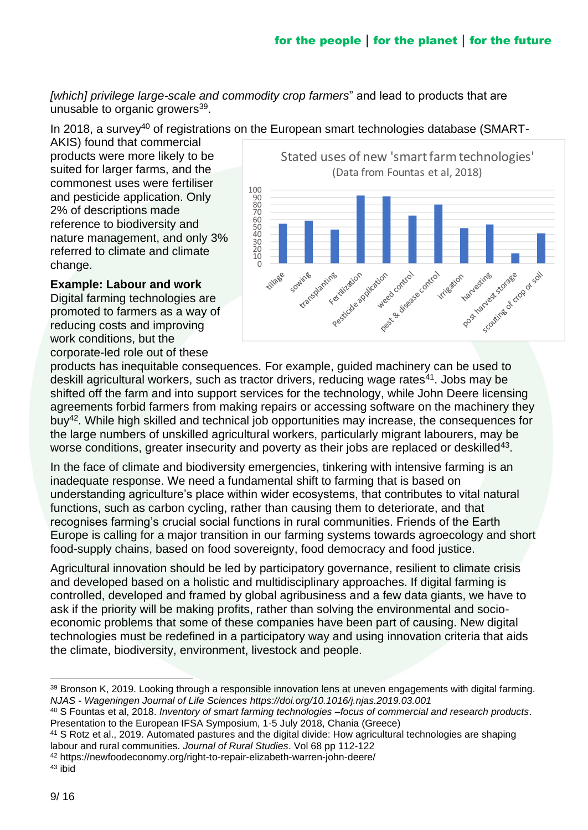*[which] privilege large-scale and commodity crop farmers*" and lead to products that are unusable to organic growers<sup>39</sup>.

In 2018, a survey<sup>40</sup> of registrations on the European smart technologies database (SMART-

AKIS) found that commercial products were more likely to be suited for larger farms, and the commonest uses were fertiliser and pesticide application. Only 2% of descriptions made reference to biodiversity and nature management, and only 3% referred to climate and climate change.

Stated uses of new 'smart farm technologies' (Data from Fountas et al, 2018)100<br>
90<br>
80<br>
70<br>
60<br>
50<br>
40<br>
30<br>
20<br>
10 st Basico control Pestitization website weed control post variatives screen strike storage of capacity stransplanting Sowing King Killization harvestines tillage ol ridgation

### **Example: Labour and work**

Digital farming technologies are promoted to farmers as a way of reducing costs and improving work conditions, but the corporate-led role out of these

products has inequitable consequences. For example, guided machinery can be used to deskill agricultural workers, such as tractor drivers, reducing wage rates<sup>41</sup>. Jobs may be shifted off the farm and into support services for the technology, while John Deere licensing agreements forbid farmers from making repairs or accessing software on the machinery they buy<sup>42</sup>. While high skilled and technical job opportunities may increase, the consequences for the large numbers of unskilled agricultural workers, particularly migrant labourers, may be worse conditions, greater insecurity and poverty as their jobs are replaced or deskilled<sup>43</sup>.

In the face of climate and biodiversity emergencies, tinkering with intensive farming is an inadequate response. We need a fundamental shift to farming that is based on understanding agriculture's place within wider ecosystems, that contributes to vital natural functions, such as carbon cycling, rather than causing them to deteriorate, and that recognises farming's crucial social functions in rural communities. Friends of the Earth Europe is calling for a major transition in our farming systems towards agroecology and short food-supply chains, based on food sovereignty, food democracy and food justice.

Agricultural innovation should be led by participatory governance, resilient to climate crisis and developed based on a holistic and multidisciplinary approaches. If digital farming is controlled, developed and framed by global agribusiness and a few data giants, we have to ask if the priority will be making profits, rather than solving the environmental and socioeconomic problems that some of these companies have been part of causing. New digital technologies must be redefined in a participatory way and using innovation criteria that aids the climate, biodiversity, environment, livestock and people.

<sup>39</sup> Bronson K, 2019. Looking through a responsible innovation lens at uneven engagements with digital farming. *NJAS - Wageningen Journal of Life Sciences https://doi.org/10.1016/j.njas.2019.03.001*

<sup>40</sup> S Fountas et al, 2018. *Inventory of smart farming technologies –focus of commercial and research products*. Presentation to the European IFSA Symposium, 1-5 July 2018, Chania (Greece)

<sup>41</sup> S Rotz et al., 2019. Automated pastures and the digital divide: How agricultural technologies are shaping labour and rural communities. *Journal of Rural Studies*. Vol 68 pp 112-122

<sup>42</sup> https://newfoodeconomy.org/right-to-repair-elizabeth-warren-john-deere/

<sup>43</sup> ibid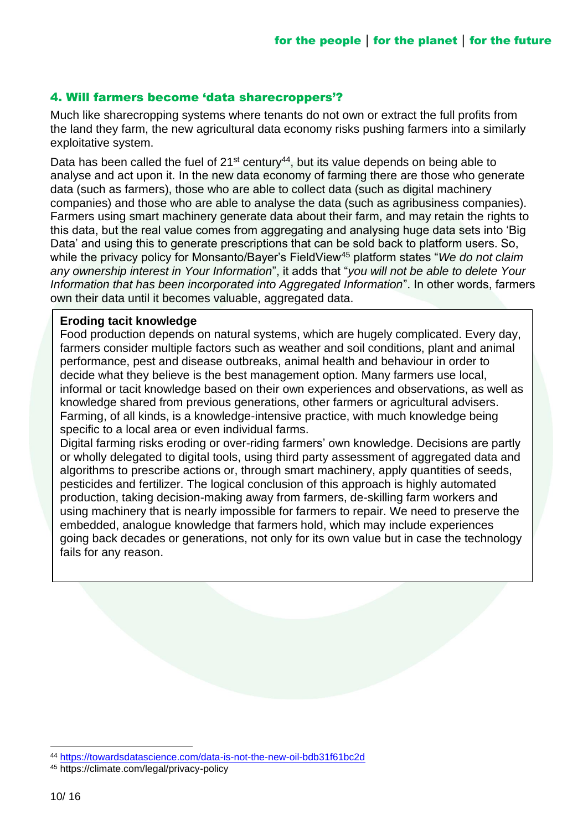### 4. Will farmers become 'data sharecroppers'?

Much like sharecropping systems where tenants do not own or extract the full profits from the land they farm, the new agricultural data economy risks pushing farmers into a similarly exploitative system.

Data has been called the fuel of  $21^{st}$  century<sup>44</sup>, but its value depends on being able to analyse and act upon it. In the new data economy of farming there are those who generate data (such as farmers), those who are able to collect data (such as digital machinery companies) and those who are able to analyse the data (such as agribusiness companies). Farmers using smart machinery generate data about their farm, and may retain the rights to this data, but the real value comes from aggregating and analysing huge data sets into 'Big Data' and using this to generate prescriptions that can be sold back to platform users. So, while the privacy policy for Monsanto/Bayer's FieldView<sup>45</sup> platform states "*We do not claim any ownership interest in Your Information*", it adds that "*you will not be able to delete Your Information that has been incorporated into Aggregated Information*". In other words, farmers own their data until it becomes valuable, aggregated data.

#### **Eroding tacit knowledge**

Food production depends on natural systems, which are hugely complicated. Every day, farmers consider multiple factors such as weather and soil conditions, plant and animal performance, pest and disease outbreaks, animal health and behaviour in order to decide what they believe is the best management option. Many farmers use local, informal or tacit knowledge based on their own experiences and observations, as well as knowledge shared from previous generations, other farmers or agricultural advisers. Farming, of all kinds, is a knowledge-intensive practice, with much knowledge being specific to a local area or even individual farms.

Digital farming risks eroding or over-riding farmers' own knowledge. Decisions are partly or wholly delegated to digital tools, using third party assessment of aggregated data and algorithms to prescribe actions or, through smart machinery, apply quantities of seeds, pesticides and fertilizer. The logical conclusion of this approach is highly automated production, taking decision-making away from farmers, de-skilling farm workers and using machinery that is nearly impossible for farmers to repair. We need to preserve the embedded, analogue knowledge that farmers hold, which may include experiences going back decades or generations, not only for its own value but in case the technology fails for any reason.

<sup>44</sup> <https://towardsdatascience.com/data-is-not-the-new-oil-bdb31f61bc2d>

<sup>45</sup> https://climate.com/legal/privacy-policy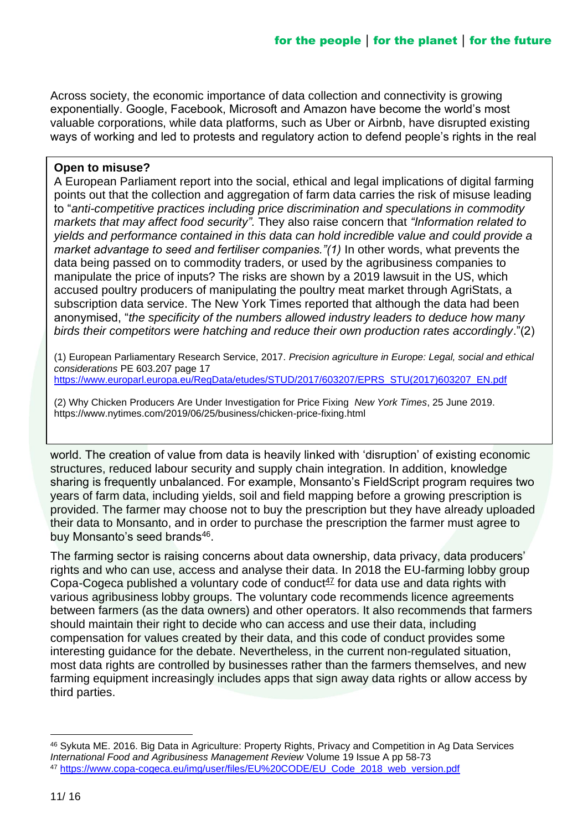Across society, the economic importance of data collection and connectivity is growing exponentially. Google, Facebook, Microsoft and Amazon have become the world's most valuable corporations, while data platforms, such as Uber or Airbnb, have disrupted existing ways of working and led to protests and regulatory action to defend people's rights in the real

#### **Open to misuse?**

A European Parliament report into the social, ethical and legal implications of digital farming points out that the collection and aggregation of farm data carries the risk of misuse leading to "*anti-competitive practices including price discrimination and speculations in commodity markets that may affect food security".* They also raise concern that *"Information related to yields and performance contained in this data can hold incredible value and could provide a market advantage to seed and fertiliser companies."(1)* In other words, what prevents the data being passed on to commodity traders, or used by the agribusiness companies to manipulate the price of inputs? The risks are shown by a 2019 lawsuit in the US, which accused poultry producers of manipulating the poultry meat market through AgriStats, a subscription data service. The New York Times reported that although the data had been anonymised, "*the specificity of the numbers allowed industry leaders to deduce how many birds their competitors were hatching and reduce their own production rates accordingly*."(2)

(1) European Parliamentary Research Service, 2017. *Precision agriculture in Europe: Legal, social and ethical considerations* PE 603.207 page 17 [https://www.europarl.europa.eu/RegData/etudes/STUD/2017/603207/EPRS\\_STU\(2017\)603207\\_EN.pdf](https://www.europarl.europa.eu/RegData/etudes/STUD/2017/603207/EPRS_STU(2017)603207_EN.pdf)

(2) Why Chicken Producers Are Under Investigation for Price Fixing *New York Times*, 25 June 2019. https://www.nytimes.com/2019/06/25/business/chicken-price-fixing.html

world. The creation of value from data is heavily linked with 'disruption' of existing economic structures, reduced labour security and supply chain integration. In addition, knowledge sharing is frequently unbalanced. For example, Monsanto's FieldScript program requires two years of farm data, including yields, soil and field mapping before a growing prescription is provided. The farmer may choose not to buy the prescription but they have already uploaded their data to Monsanto, and in order to purchase the prescription the farmer must agree to buy Monsanto's seed brands<sup>46</sup>.

The farming sector is raising concerns about data ownership, data privacy, data producers' rights and who can use, access and analyse their data. In 2018 the EU-farming lobby group Copa-Cogeca published a voluntary code of conduct<sup>47</sup> for data use and data rights with various agribusiness lobby groups. The voluntary code recommends licence agreements between farmers (as the data owners) and other operators. It also recommends that farmers should maintain their right to decide who can access and use their data, including compensation for values created by their data, and this code of conduct provides some interesting guidance for the debate. Nevertheless, in the current non-regulated situation, most data rights are controlled by businesses rather than the farmers themselves, and new farming equipment increasingly includes apps that sign away data rights or allow access by third parties.

<sup>46</sup> Sykuta ME. 2016. Big Data in Agriculture: Property Rights, Privacy and Competition in Ag Data Services *International Food and Agribusiness Management Review* Volume 19 Issue A pp 58-73 <sup>47</sup> [https://www.copa-cogeca.eu/img/user/files/EU%20CODE/EU\\_Code\\_2018\\_web\\_version.pdf](https://www.copa-cogeca.eu/img/user/files/EU%20CODE/EU_Code_2018_web_version.pdf)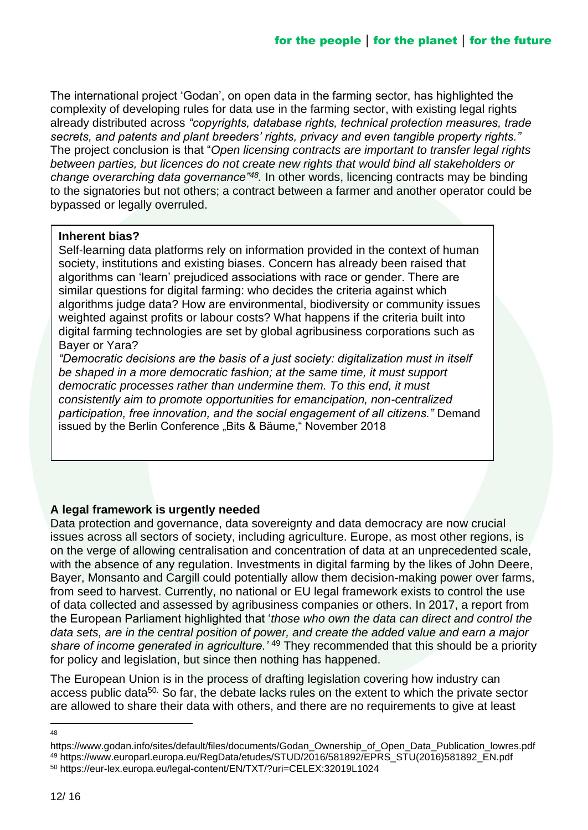The international project 'Godan', on open data in the farming sector, has highlighted the complexity of developing rules for data use in the farming sector, with existing legal rights already distributed across *"copyrights, database rights, technical protection measures, trade secrets, and patents and plant breeders' rights, privacy and even tangible property rights."*  The project conclusion is that "*Open licensing contracts are important to transfer legal rights between parties, but licences do not create new rights that would bind all stakeholders or change overarching data governance"<sup>48</sup> .* In other words, licencing contracts may be binding to the signatories but not others; a contract between a farmer and another operator could be bypassed or legally overruled.

#### **Inherent bias?**

Self-learning data platforms rely on information provided in the context of human society, institutions and existing biases. Concern has already been raised that algorithms can 'learn' prejudiced associations with race or gender. There are similar questions for digital farming: who decides the criteria against which algorithms judge data? How are environmental, biodiversity or community issues weighted against profits or labour costs? What happens if the criteria built into digital farming technologies are set by global agribusiness corporations such as Bayer or Yara?

*"Democratic decisions are the basis of a just society: digitalization must in itself be shaped in a more democratic fashion; at the same time, it must support democratic processes rather than undermine them. To this end, it must consistently aim to promote opportunities for emancipation, non-centralized participation, free innovation, and the social engagement of all citizens."* Demand issued by the Berlin Conference "Bits & Bäume," November 2018

### **A legal framework is urgently needed**

Data protection and governance, data sovereignty and data democracy are now crucial issues across all sectors of society, including agriculture. Europe, as most other regions, is on the verge of allowing centralisation and concentration of data at an unprecedented scale, with the absence of any regulation. Investments in digital farming by the likes of John Deere, Bayer, Monsanto and Cargill could potentially allow them decision-making power over farms, from seed to harvest. Currently, no national or EU legal framework exists to control the use of data collected and assessed by agribusiness companies or others. In 2017, a report from the European Parliament highlighted that '*those who own the data can direct and control the data sets, are in the central position of power, and create the added value and earn a major share of income generated in agriculture.'* <sup>49</sup> They recommended that this should be a priority for policy and legislation, but since then nothing has happened.

The European Union is in the process of drafting legislation covering how industry can access public data<sup>50.</sup> So far, the debate lacks rules on the extent to which the private sector are allowed to share their data with others, and there are no requirements to give at least

<sup>48</sup>

https://www.godan.info/sites/default/files/documents/Godan\_Ownership\_of\_Open\_Data\_Publication\_lowres.pdf <sup>49</sup> https://www.europarl.europa.eu/RegData/etudes/STUD/2016/581892/EPRS\_STU(2016)581892\_EN.pdf <sup>50</sup> https://eur-lex.europa.eu/legal-content/EN/TXT/?uri=CELEX:32019L1024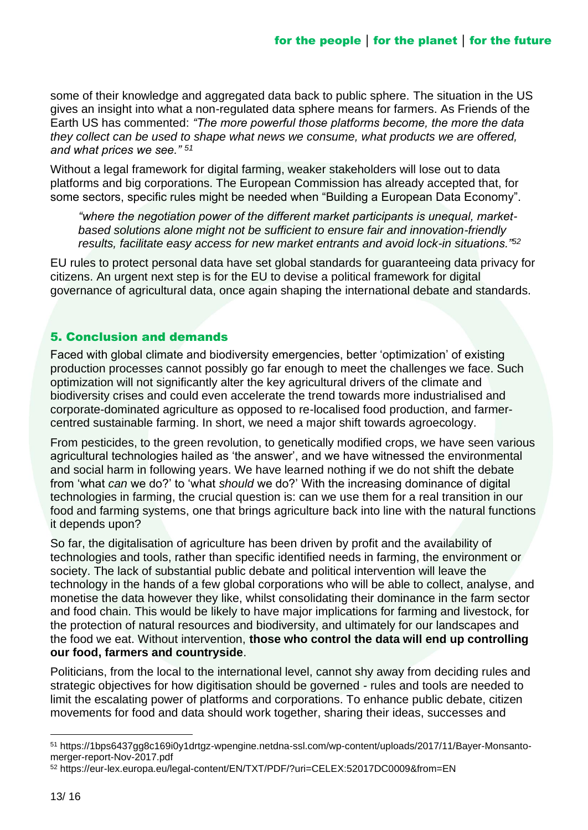some of their knowledge and aggregated data back to public sphere. The situation in the US gives an insight into what a non-regulated data sphere means for farmers. As Friends of the Earth US has commented: *"The more powerful those platforms become, the more the data they collect can be used to shape what news we consume, what products we are offered, and what prices we see." <sup>51</sup>*

Without a legal framework for digital farming, weaker stakeholders will lose out to data platforms and big corporations. The European Commission has already accepted that, for some sectors, specific rules might be needed when "Building a European Data Economy".

*"where the negotiation power of the different market participants is unequal, marketbased solutions alone might not be sufficient to ensure fair and innovation-friendly results, facilitate easy access for new market entrants and avoid lock-in situations."<sup>52</sup>*

EU rules to protect personal data have set global standards for guaranteeing data privacy for citizens. An urgent next step is for the EU to devise a political framework for digital governance of agricultural data, once again shaping the international debate and standards.

### 5. Conclusion and demands

Faced with global climate and biodiversity emergencies, better 'optimization' of existing production processes cannot possibly go far enough to meet the challenges we face. Such optimization will not significantly alter the key agricultural drivers of the climate and biodiversity crises and could even accelerate the trend towards more industrialised and corporate-dominated agriculture as opposed to re-localised food production, and farmercentred sustainable farming. In short, we need a major shift towards agroecology.

From pesticides, to the green revolution, to genetically modified crops, we have seen various agricultural technologies hailed as 'the answer', and we have witnessed the environmental and social harm in following years. We have learned nothing if we do not shift the debate from 'what *can* we do?' to 'what *should* we do?' With the increasing dominance of digital technologies in farming, the crucial question is: can we use them for a real transition in our food and farming systems, one that brings agriculture back into line with the natural functions it depends upon?

So far, the digitalisation of agriculture has been driven by profit and the availability of technologies and tools, rather than specific identified needs in farming, the environment or society. The lack of substantial public debate and political intervention will leave the technology in the hands of a few global corporations who will be able to collect, analyse, and monetise the data however they like, whilst consolidating their dominance in the farm sector and food chain. This would be likely to have major implications for farming and livestock, for the protection of natural resources and biodiversity, and ultimately for our landscapes and the food we eat. Without intervention, **those who control the data will end up controlling our food, farmers and countryside**.

Politicians, from the local to the international level, cannot shy away from deciding rules and strategic objectives for how digitisation should be governed - rules and tools are needed to limit the escalating power of platforms and corporations. To enhance public debate, citizen movements for food and data should work together, sharing their ideas, successes and

<sup>51</sup> https://1bps6437gg8c169i0y1drtgz-wpengine.netdna-ssl.com/wp-content/uploads/2017/11/Bayer-Monsantomerger-report-Nov-2017.pdf

<sup>52</sup> https://eur-lex.europa.eu/legal-content/EN/TXT/PDF/?uri=CELEX:52017DC0009&from=EN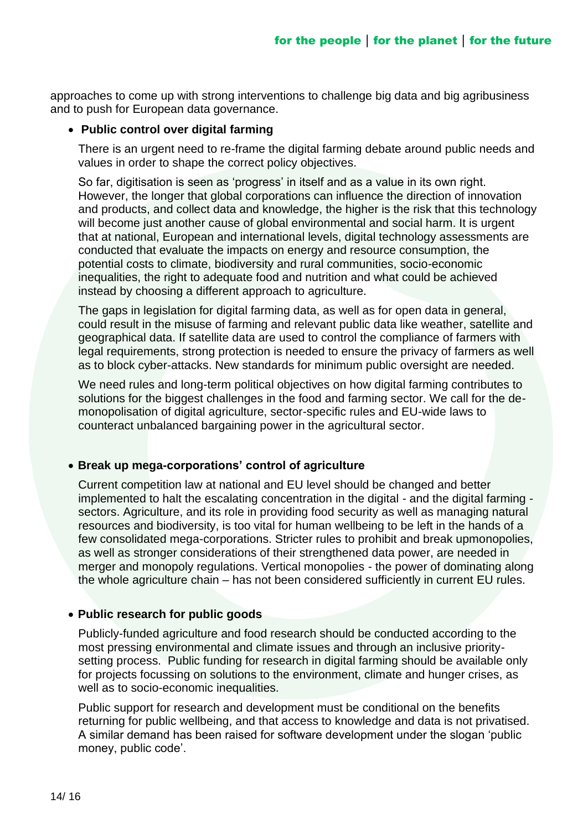approaches to come up with strong interventions to challenge big data and big agribusiness and to push for European data governance.

#### • **Public control over digital farming**

There is an urgent need to re-frame the digital farming debate around public needs and values in order to shape the correct policy objectives.

So far, digitisation is seen as 'progress' in itself and as a value in its own right. However, the longer that global corporations can influence the direction of innovation and products, and collect data and knowledge, the higher is the risk that this technology will become just another cause of global environmental and social harm. It is urgent that at national, European and international levels, digital technology assessments are conducted that evaluate the impacts on energy and resource consumption, the potential costs to climate, biodiversity and rural communities, socio-economic inequalities, the right to adequate food and nutrition and what could be achieved instead by choosing a different approach to agriculture.

The gaps in legislation for digital farming data, as well as for open data in general, could result in the misuse of farming and relevant public data like weather, satellite and geographical data. If satellite data are used to control the compliance of farmers with legal requirements, strong protection is needed to ensure the privacy of farmers as well as to block cyber-attacks. New standards for minimum public oversight are needed.

We need rules and long-term political objectives on how digital farming contributes to solutions for the biggest challenges in the food and farming sector. We call for the demonopolisation of digital agriculture, sector-specific rules and EU-wide laws to counteract unbalanced bargaining power in the agricultural sector.

#### • **Break up mega-corporations' control of agriculture**

Current competition law at national and EU level should be changed and better implemented to halt the escalating concentration in the digital - and the digital farming sectors. Agriculture, and its role in providing food security as well as managing natural resources and biodiversity, is too vital for human wellbeing to be left in the hands of a few consolidated mega-corporations. Stricter rules to prohibit and break upmonopolies, as well as stronger considerations of their strengthened data power, are needed in merger and monopoly regulations. Vertical monopolies - the power of dominating along the whole agriculture chain – has not been considered sufficiently in current EU rules.

#### • **Public research for public goods**

Publicly-funded agriculture and food research should be conducted according to the most pressing environmental and climate issues and through an inclusive prioritysetting process. Public funding for research in digital farming should be available only for projects focussing on solutions to the environment, climate and hunger crises, as well as to socio-economic inequalities.

Public support for research and development must be conditional on the benefits returning for public wellbeing, and that access to knowledge and data is not privatised. A similar demand has been raised for software development under the slogan 'public money, public code'.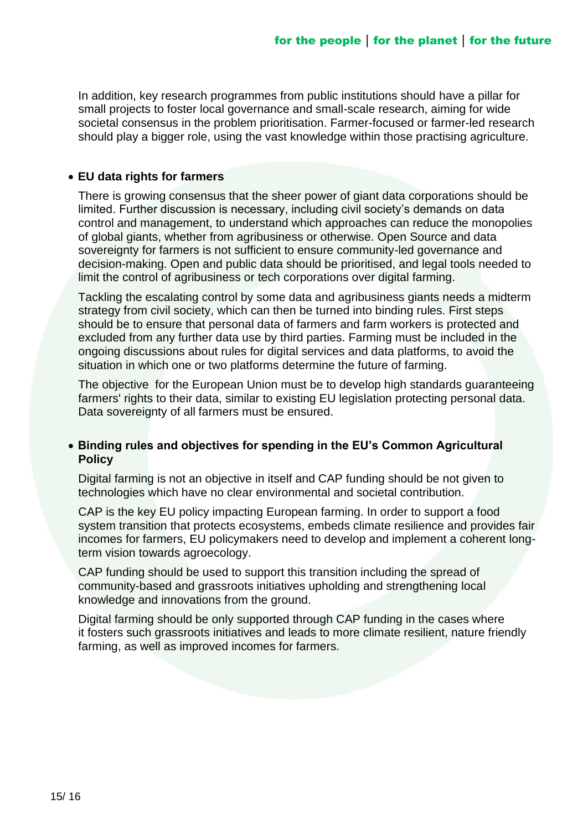In addition, key research programmes from public institutions should have a pillar for small projects to foster local governance and small-scale research, aiming for wide societal consensus in the problem prioritisation. Farmer-focused or farmer-led research should play a bigger role, using the vast knowledge within those practising agriculture.

#### • **EU data rights for farmers**

There is growing consensus that the sheer power of giant data corporations should be limited. Further discussion is necessary, including civil society's demands on data control and management, to understand which approaches can reduce the monopolies of global giants, whether from agribusiness or otherwise. Open Source and data sovereignty for farmers is not sufficient to ensure community-led governance and decision-making. Open and public data should be prioritised, and legal tools needed to limit the control of agribusiness or tech corporations over digital farming.

Tackling the escalating control by some data and agribusiness giants needs a midterm strategy from civil society, which can then be turned into binding rules. First steps should be to ensure that personal data of farmers and farm workers is protected and excluded from any further data use by third parties. Farming must be included in the ongoing discussions about rules for digital services and data platforms, to avoid the situation in which one or two platforms determine the future of farming.

The objective for the European Union must be to develop high standards guaranteeing farmers' rights to their data, similar to existing EU legislation protecting personal data. Data sovereignty of all farmers must be ensured.

#### • **Binding rules and objectives for spending in the EU's Common Agricultural Policy**

Digital farming is not an objective in itself and CAP funding should be not given to technologies which have no clear environmental and societal contribution.

CAP is the key EU policy impacting European farming. In order to support a food system transition that protects ecosystems, embeds climate resilience and provides fair incomes for farmers, EU policymakers need to develop and implement a coherent longterm vision towards agroecology.

CAP funding should be used to support this transition including the spread of community-based and grassroots initiatives upholding and strengthening local knowledge and innovations from the ground.

Digital farming should be only supported through CAP funding in the cases where it fosters such grassroots initiatives and leads to more climate resilient, nature friendly farming, as well as improved incomes for farmers.